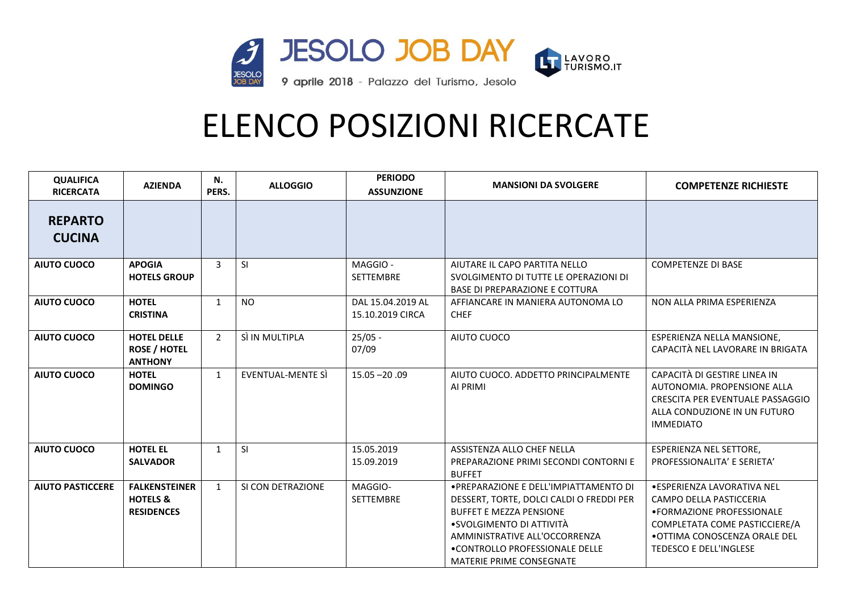

| <b>QUALIFICA</b><br><b>RICERCATA</b> | <b>AZIENDA</b>                                                   | N.<br>PERS.    | <b>ALLOGGIO</b>   | <b>PERIODO</b><br><b>ASSUNZIONE</b>   | <b>MANSIONI DA SVOLGERE</b>                                                                                                                                                                                                                            | <b>COMPETENZE RICHIESTE</b>                                                                                                                                                             |
|--------------------------------------|------------------------------------------------------------------|----------------|-------------------|---------------------------------------|--------------------------------------------------------------------------------------------------------------------------------------------------------------------------------------------------------------------------------------------------------|-----------------------------------------------------------------------------------------------------------------------------------------------------------------------------------------|
| <b>REPARTO</b><br><b>CUCINA</b>      |                                                                  |                |                   |                                       |                                                                                                                                                                                                                                                        |                                                                                                                                                                                         |
| <b>AIUTO CUOCO</b>                   | <b>APOGIA</b><br><b>HOTELS GROUP</b>                             | 3              | <b>SI</b>         | MAGGIO-<br><b>SETTEMBRE</b>           | AIUTARE IL CAPO PARTITA NELLO<br>SVOLGIMENTO DI TUTTE LE OPERAZIONI DI<br><b>BASE DI PREPARAZIONE E COTTURA</b>                                                                                                                                        | <b>COMPETENZE DI BASE</b>                                                                                                                                                               |
| <b>AIUTO CUOCO</b>                   | <b>HOTEL</b><br><b>CRISTINA</b>                                  | $\mathbf{1}$   | <b>NO</b>         | DAL 15.04.2019 AL<br>15.10.2019 CIRCA | AFFIANCARE IN MANIERA AUTONOMA LO<br><b>CHEF</b>                                                                                                                                                                                                       | NON ALLA PRIMA ESPERIENZA                                                                                                                                                               |
| <b>AIUTO CUOCO</b>                   | <b>HOTEL DELLE</b><br><b>ROSE / HOTEL</b><br><b>ANTHONY</b>      | $\overline{2}$ | SÌ IN MULTIPLA    | $25/05 -$<br>07/09                    | AIUTO CUOCO                                                                                                                                                                                                                                            | ESPERIENZA NELLA MANSIONE,<br>CAPACITÀ NEL LAVORARE IN BRIGATA                                                                                                                          |
| <b>AIUTO CUOCO</b>                   | <b>HOTEL</b><br><b>DOMINGO</b>                                   | $\mathbf{1}$   | EVENTUAL-MENTE SI | $15.05 - 20.09$                       | AIUTO CUOCO, ADDETTO PRINCIPALMENTE<br>AI PRIMI                                                                                                                                                                                                        | CAPACITÀ DI GESTIRE LINEA IN<br>AUTONOMIA. PROPENSIONE ALLA<br>CRESCITA PER EVENTUALE PASSAGGIO<br>ALLA CONDUZIONE IN UN FUTURO<br><b>IMMEDIATO</b>                                     |
| <b>AIUTO CUOCO</b>                   | <b>HOTEL EL</b><br><b>SALVADOR</b>                               | $\mathbf{1}$   | <b>SI</b>         | 15.05.2019<br>15.09.2019              | ASSISTENZA ALLO CHEF NELLA<br>PREPARAZIONE PRIMI SECONDI CONTORNI E<br><b>BUFFET</b>                                                                                                                                                                   | <b>ESPERIENZA NEL SETTORE,</b><br>PROFESSIONALITA' E SERIETA'                                                                                                                           |
| <b>AIUTO PASTICCERE</b>              | <b>FALKENSTEINER</b><br><b>HOTELS &amp;</b><br><b>RESIDENCES</b> | $\mathbf{1}$   | SI CON DETRAZIONE | MAGGIO-<br><b>SETTEMBRE</b>           | . PREPARAZIONE E DELL'IMPIATTAMENTO DI<br>DESSERT, TORTE, DOLCI CALDI O FREDDI PER<br><b>BUFFET E MEZZA PENSIONE</b><br>•SVOLGIMENTO DI ATTIVITÀ<br>AMMINISTRATIVE ALL'OCCORRENZA<br>.CONTROLLO PROFESSIONALE DELLE<br><b>MATERIE PRIME CONSEGNATE</b> | · ESPERIENZA LAVORATIVA NEL<br>CAMPO DELLA PASTICCERIA<br>• FORMAZIONE PROFESSIONALE<br>COMPLETATA COME PASTICCIERE/A<br>• OTTIMA CONOSCENZA ORALE DEL<br><b>TEDESCO E DELL'INGLESE</b> |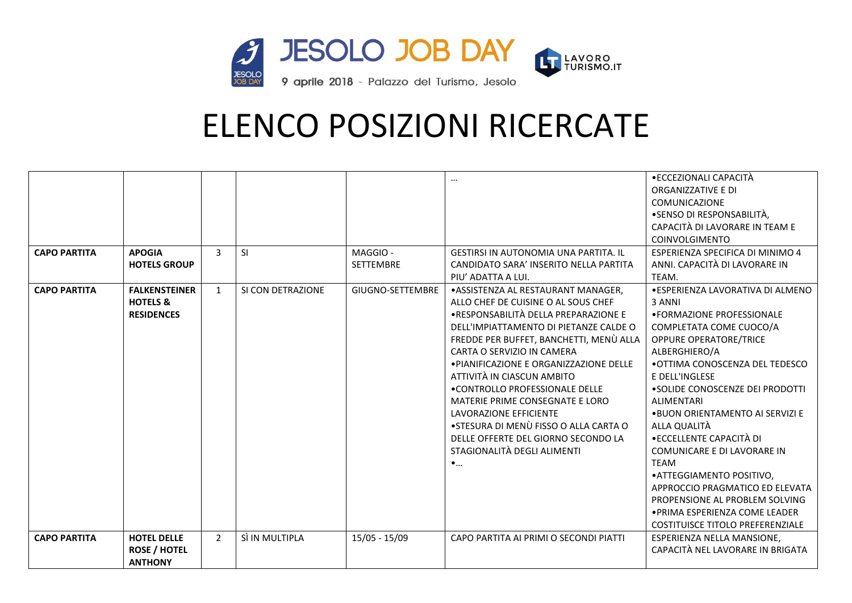

| <b>CAPO PARTITA</b> | <b>APOGIA</b><br><b>HOTELS GROUP</b>                             | 3              | <b>SI</b>         | MAGGIO-<br><b>SETTEMBRE</b> | <b>GESTIRSI IN AUTONOMIA UNA PARTITA. IL</b><br>CANDIDATO SARA' INSERITO NELLA PARTITA<br>PIU' ADATTA A LUI.                                                                                                                                                                                                                                                                                                                                                                                                                               | • ECCEZIONALI CAPACITÀ<br>ORGANIZZATIVE E DI<br><b>COMUNICAZIONE</b><br>•SENSO DI RESPONSABILITÀ,<br>CAPACITÀ DI LAVORARE IN TEAM E<br>COINVOLGIMENTO<br>ESPERIENZA SPECIFICA DI MINIMO 4<br>ANNI. CAPACITÀ DI LAVORARE IN<br>TEAM.                                                                                                                                                                                                                                                                                                                                      |
|---------------------|------------------------------------------------------------------|----------------|-------------------|-----------------------------|--------------------------------------------------------------------------------------------------------------------------------------------------------------------------------------------------------------------------------------------------------------------------------------------------------------------------------------------------------------------------------------------------------------------------------------------------------------------------------------------------------------------------------------------|--------------------------------------------------------------------------------------------------------------------------------------------------------------------------------------------------------------------------------------------------------------------------------------------------------------------------------------------------------------------------------------------------------------------------------------------------------------------------------------------------------------------------------------------------------------------------|
| <b>CAPO PARTITA</b> | <b>FALKENSTEINER</b><br><b>HOTELS &amp;</b><br><b>RESIDENCES</b> | $\mathbf{1}$   | SI CON DETRAZIONE | GIUGNO-SETTEMBRE            | · ASSISTENZA AL RESTAURANT MANAGER,<br>ALLO CHEF DE CUISINE O AL SOUS CHEF<br>•RESPONSABILITÀ DELLA PREPARAZIONE E<br>DELL'IMPIATTAMENTO DI PIETANZE CALDE O<br>FREDDE PER BUFFET, BANCHETTI, MENÙ ALLA<br>CARTA O SERVIZIO IN CAMERA<br>. PIANIFICAZIONE E ORGANIZZAZIONE DELLE<br>ATTIVITÀ IN CIASCUN AMBITO<br>. CONTROLLO PROFESSIONALE DELLE<br>MATERIE PRIME CONSEGNATE E LORO<br>LAVORAZIONE EFFICIENTE<br>•STESURA DI MENÙ FISSO O ALLA CARTA O<br>DELLE OFFERTE DEL GIORNO SECONDO LA<br>STAGIONALITÀ DEGLI ALIMENTI<br>$\bullet$ | · ESPERIENZA LAVORATIVA DI ALMENO<br>3 ANNI<br>• FORMAZIONE PROFESSIONALE<br>COMPLETATA COME CUOCO/A<br><b>OPPURE OPERATORE/TRICE</b><br>ALBERGHIERO/A<br>.OTTIMA CONOSCENZA DEL TEDESCO<br>E DELL'INGLESE<br>• SOLIDE CONOSCENZE DEI PRODOTTI<br><b>ALIMENTARI</b><br>.BUON ORIENTAMENTO AI SERVIZI E<br>ALLA QUALITÀ<br>• ECCELLENTE CAPACITÀ DI<br>COMUNICARE E DI LAVORARE IN<br><b>TEAM</b><br>• ATTEGGIAMENTO POSITIVO,<br>APPROCCIO PRAGMATICO ED ELEVATA<br>PROPENSIONE AL PROBLEM SOLVING<br>· PRIMA ESPERIENZA COME LEADER<br>COSTITUISCE TITOLO PREFERENZIALE |
| <b>CAPO PARTITA</b> | <b>HOTEL DELLE</b><br><b>ROSE / HOTEL</b><br><b>ANTHONY</b>      | $\overline{2}$ | SÌ IN MULTIPLA    | $15/05 - 15/09$             | CAPO PARTITA AI PRIMI O SECONDI PIATTI                                                                                                                                                                                                                                                                                                                                                                                                                                                                                                     | ESPERIENZA NELLA MANSIONE,<br>CAPACITÀ NEL LAVORARE IN BRIGATA                                                                                                                                                                                                                                                                                                                                                                                                                                                                                                           |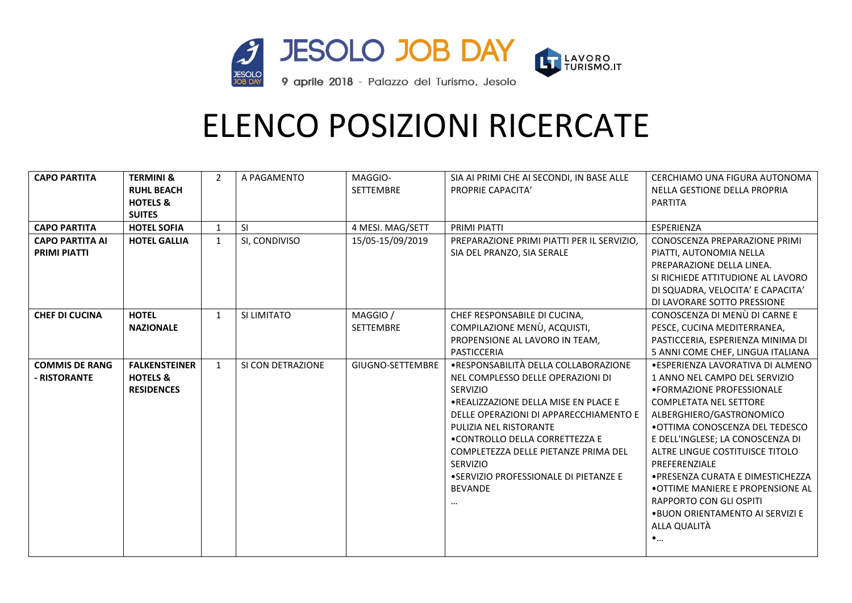

| <b>CAPO PARTITA</b><br><b>CAPO PARTITA</b><br><b>CAPO PARTITA AI</b><br><b>PRIMI PIATTI</b> | <b>TERMINI &amp;</b><br><b>RUHL BEACH</b><br><b>HOTELS &amp;</b><br><b>SUITES</b><br><b>HOTEL SOFIA</b><br><b>HOTEL GALLIA</b> | $\overline{2}$<br>1<br>$\mathbf{1}$ | A PAGAMENTO<br><b>SI</b><br>SI, CONDIVISO | MAGGIO-<br>SETTEMBRE<br>4 MESI. MAG/SETT<br>15/05-15/09/2019 | SIA AI PRIMI CHE AI SECONDI, IN BASE ALLE<br>PROPRIE CAPACITA'<br>PRIMI PIATTI<br>PREPARAZIONE PRIMI PIATTI PER IL SERVIZIO,<br>SIA DEL PRANZO, SIA SERALE                                                                                                                                                                                                                      | CERCHIAMO UNA FIGURA AUTONOMA<br>NELLA GESTIONE DELLA PROPRIA<br><b>PARTITA</b><br>ESPERIENZA<br>CONOSCENZA PREPARAZIONE PRIMI<br>PIATTI, AUTONOMIA NELLA<br>PREPARAZIONE DELLA LINEA.<br>SI RICHIEDE ATTITUDIONE AL LAVORO<br>DI SQUADRA, VELOCITA' E CAPACITA'                                                                                                                                                                                             |
|---------------------------------------------------------------------------------------------|--------------------------------------------------------------------------------------------------------------------------------|-------------------------------------|-------------------------------------------|--------------------------------------------------------------|---------------------------------------------------------------------------------------------------------------------------------------------------------------------------------------------------------------------------------------------------------------------------------------------------------------------------------------------------------------------------------|--------------------------------------------------------------------------------------------------------------------------------------------------------------------------------------------------------------------------------------------------------------------------------------------------------------------------------------------------------------------------------------------------------------------------------------------------------------|
| <b>CHEF DI CUCINA</b>                                                                       | <b>HOTEL</b><br><b>NAZIONALE</b>                                                                                               | $\mathbf{1}$                        | SI LIMITATO                               | MAGGIO /<br><b>SETTEMBRE</b>                                 | CHEF RESPONSABILE DI CUCINA.<br>COMPILAZIONE MENÙ, ACQUISTI,<br>PROPENSIONE AL LAVORO IN TEAM.<br>PASTICCERIA                                                                                                                                                                                                                                                                   | DI LAVORARE SOTTO PRESSIONE<br>CONOSCENZA DI MENÙ DI CARNE E<br>PESCE, CUCINA MEDITERRANEA,<br>PASTICCERIA, ESPERIENZA MINIMA DI<br>5 ANNI COME CHEF, LINGUA ITALIANA                                                                                                                                                                                                                                                                                        |
| <b>COMMIS DE RANG</b><br>- RISTORANTE                                                       | <b>FALKENSTEINER</b><br><b>HOTELS &amp;</b><br><b>RESIDENCES</b>                                                               | $\mathbf{1}$                        | SI CON DETRAZIONE                         | GIUGNO-SETTEMBRE                                             | • RESPONSABILITÀ DELLA COLLABORAZIONE<br>NEL COMPLESSO DELLE OPERAZIONI DI<br><b>SERVIZIO</b><br>.REALIZZAZIONE DELLA MISE EN PLACE E<br>DELLE OPERAZIONI DI APPARECCHIAMENTO E<br>PULIZIA NEL RISTORANTE<br>• CONTROLLO DELLA CORRETTEZZA E<br>COMPLETEZZA DELLE PIETANZE PRIMA DEL<br><b>SERVIZIO</b><br>• SERVIZIO PROFESSIONALE DI PIETANZE E<br><b>BEVANDE</b><br>$\cdots$ | · ESPERIENZA LAVORATIVA DI ALMENO<br>1 ANNO NEL CAMPO DEL SERVIZIO<br>• FORMAZIONE PROFESSIONALE<br><b>COMPLETATA NEL SETTORE</b><br>ALBERGHIERO/GASTRONOMICO<br>•OTTIMA CONOSCENZA DEL TEDESCO<br>E DELL'INGLESE; LA CONOSCENZA DI<br>ALTRE LINGUE COSTITUISCE TITOLO<br>PREFERENZIALE<br>• PRESENZA CURATA E DIMESTICHEZZA<br>• OTTIME MANIERE E PROPENSIONE AL<br>RAPPORTO CON GLI OSPITI<br>.BUON ORIENTAMENTO AI SERVIZI E<br>ALLA QUALITÀ<br>$\bullet$ |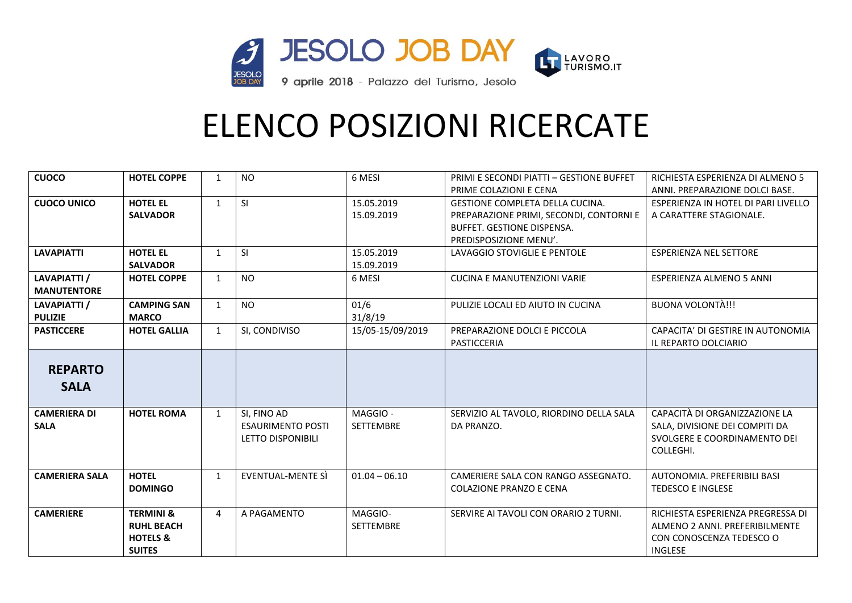

| <b>CUOCO</b>          | <b>HOTEL COPPE</b>   | $\mathbf{1}$   | <b>NO</b>                | 6 MESI           | PRIMI E SECONDI PIATTI - GESTIONE BUFFET | RICHIESTA ESPERIENZA DI ALMENO 5    |
|-----------------------|----------------------|----------------|--------------------------|------------------|------------------------------------------|-------------------------------------|
|                       |                      |                |                          |                  | PRIME COLAZIONI E CENA                   | ANNI. PREPARAZIONE DOLCI BASE.      |
| <b>CUOCO UNICO</b>    | <b>HOTEL EL</b>      | $\mathbf{1}$   | <b>SI</b>                | 15.05.2019       | <b>GESTIONE COMPLETA DELLA CUCINA.</b>   | ESPERIENZA IN HOTEL DI PARI LIVELLO |
|                       | <b>SALVADOR</b>      |                |                          | 15.09.2019       | PREPARAZIONE PRIMI, SECONDI, CONTORNI E  | A CARATTERE STAGIONALE.             |
|                       |                      |                |                          |                  | <b>BUFFET, GESTIONE DISPENSA.</b>        |                                     |
|                       |                      |                |                          |                  | PREDISPOSIZIONE MENU'.                   |                                     |
| <b>LAVAPIATTI</b>     | <b>HOTEL EL</b>      | $\mathbf{1}$   | <b>SI</b>                | 15.05.2019       | LAVAGGIO STOVIGLIE E PENTOLE             | <b>ESPERIENZA NEL SETTORE</b>       |
|                       | <b>SALVADOR</b>      |                |                          | 15.09.2019       |                                          |                                     |
| LAVAPIATTI /          | <b>HOTEL COPPE</b>   | $\mathbf{1}$   | <b>NO</b>                | 6 MESI           | <b>CUCINA E MANUTENZIONI VARIE</b>       | ESPERIENZA ALMENO 5 ANNI            |
| <b>MANUTENTORE</b>    |                      |                |                          |                  |                                          |                                     |
| LAVAPIATTI /          | <b>CAMPING SAN</b>   | $\mathbf{1}$   | <b>NO</b>                | 01/6             | PULIZIE LOCALI ED AIUTO IN CUCINA        | <b>BUONA VOLONTÀ!!!</b>             |
| <b>PULIZIE</b>        | <b>MARCO</b>         |                |                          | 31/8/19          |                                          |                                     |
| <b>PASTICCERE</b>     | <b>HOTEL GALLIA</b>  | $\mathbf{1}$   | SI, CONDIVISO            | 15/05-15/09/2019 | PREPARAZIONE DOLCI E PICCOLA             | CAPACITA' DI GESTIRE IN AUTONOMIA   |
|                       |                      |                |                          |                  | PASTICCERIA                              | IL REPARTO DOLCIARIO                |
|                       |                      |                |                          |                  |                                          |                                     |
| <b>REPARTO</b>        |                      |                |                          |                  |                                          |                                     |
| <b>SALA</b>           |                      |                |                          |                  |                                          |                                     |
|                       |                      |                |                          |                  |                                          |                                     |
| <b>CAMERIERA DI</b>   | <b>HOTEL ROMA</b>    | $\mathbf{1}$   | SI, FINO AD              | MAGGIO-          | SERVIZIO AL TAVOLO, RIORDINO DELLA SALA  | CAPACITÀ DI ORGANIZZAZIONE LA       |
| <b>SALA</b>           |                      |                | <b>ESAURIMENTO POSTI</b> | <b>SETTEMBRE</b> | DA PRANZO.                               | SALA, DIVISIONE DEI COMPITI DA      |
|                       |                      |                | LETTO DISPONIBILI        |                  |                                          | SVOLGERE E COORDINAMENTO DEI        |
|                       |                      |                |                          |                  |                                          | COLLEGHI.                           |
|                       |                      |                |                          |                  |                                          |                                     |
| <b>CAMERIERA SALA</b> | <b>HOTEL</b>         | $\mathbf{1}$   | <b>EVENTUAL-MENTE SÌ</b> | $01.04 - 06.10$  | CAMERIERE SALA CON RANGO ASSEGNATO.      | AUTONOMIA, PREFERIBILI BASI         |
|                       | <b>DOMINGO</b>       |                |                          |                  | <b>COLAZIONE PRANZO E CENA</b>           | <b>TEDESCO E INGLESE</b>            |
|                       |                      |                |                          |                  |                                          |                                     |
| <b>CAMERIERE</b>      | <b>TERMINI &amp;</b> | $\overline{4}$ | A PAGAMENTO              | MAGGIO-          | SERVIRE AI TAVOLI CON ORARIO 2 TURNI.    | RICHIESTA ESPERIENZA PREGRESSA DI   |
|                       | <b>RUHL BEACH</b>    |                |                          | <b>SETTEMBRE</b> |                                          | ALMENO 2 ANNI. PREFERIBILMENTE      |
|                       | <b>HOTELS &amp;</b>  |                |                          |                  |                                          | CON CONOSCENZA TEDESCO O            |
|                       | <b>SUITES</b>        |                |                          |                  |                                          | <b>INGLESE</b>                      |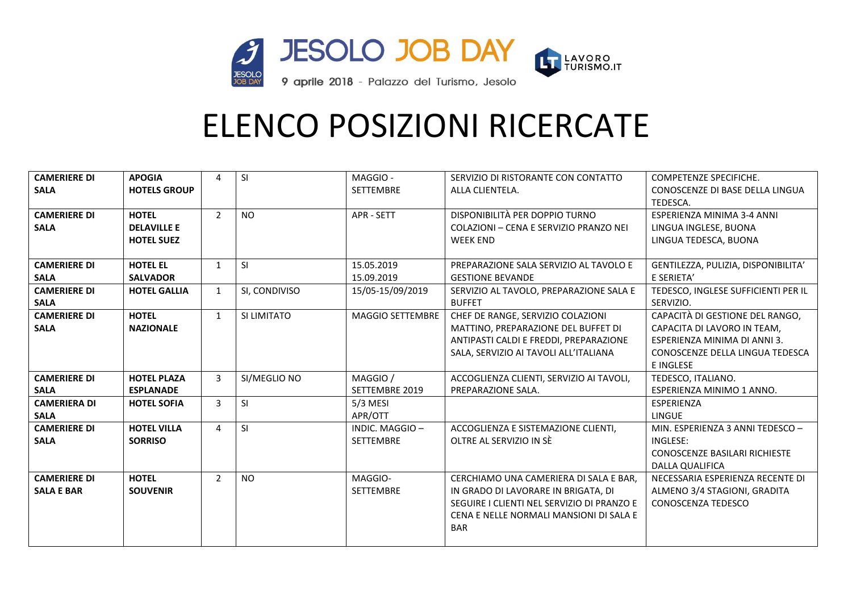

| <b>CAMERIERE DI</b> | <b>APOGIA</b>       | 4              | SI            | MAGGIO-          | SERVIZIO DI RISTORANTE CON CONTATTO        | COMPETENZE SPECIFICHE.               |
|---------------------|---------------------|----------------|---------------|------------------|--------------------------------------------|--------------------------------------|
| <b>SALA</b>         | <b>HOTELS GROUP</b> |                |               | <b>SETTEMBRE</b> | ALLA CLIENTELA.                            | CONOSCENZE DI BASE DELLA LINGUA      |
|                     |                     |                |               |                  |                                            | TEDESCA.                             |
| <b>CAMERIERE DI</b> | <b>HOTEL</b>        | $\overline{2}$ | <b>NO</b>     | APR - SETT       | DISPONIBILITÀ PER DOPPIO TURNO             | ESPERIENZA MINIMA 3-4 ANNI           |
| <b>SALA</b>         | <b>DELAVILLE E</b>  |                |               |                  | COLAZIONI - CENA E SERVIZIO PRANZO NEI     | LINGUA INGLESE, BUONA                |
|                     | <b>HOTEL SUEZ</b>   |                |               |                  | <b>WEEK END</b>                            | LINGUA TEDESCA, BUONA                |
|                     |                     |                |               |                  |                                            |                                      |
| <b>CAMERIERE DI</b> | <b>HOTEL EL</b>     | $\mathbf{1}$   | <sup>SI</sup> | 15.05.2019       | PREPARAZIONE SALA SERVIZIO AL TAVOLO E     | GENTILEZZA, PULIZIA, DISPONIBILITA'  |
| <b>SALA</b>         | <b>SALVADOR</b>     |                |               | 15.09.2019       | <b>GESTIONE BEVANDE</b>                    | E SERIETA'                           |
| <b>CAMERIERE DI</b> | <b>HOTEL GALLIA</b> | $\mathbf{1}$   | SI, CONDIVISO | 15/05-15/09/2019 | SERVIZIO AL TAVOLO, PREPARAZIONE SALA E    | TEDESCO, INGLESE SUFFICIENTI PER IL  |
| <b>SALA</b>         |                     |                |               |                  | <b>BUFFET</b>                              | SERVIZIO.                            |
| <b>CAMERIERE DI</b> | <b>HOTEL</b>        | $\mathbf{1}$   | SI LIMITATO   | MAGGIO SETTEMBRE | CHEF DE RANGE, SERVIZIO COLAZIONI          | CAPACITÀ DI GESTIONE DEL RANGO,      |
| <b>SALA</b>         | <b>NAZIONALE</b>    |                |               |                  | MATTINO. PREPARAZIONE DEL BUFFET DI        | CAPACITA DI LAVORO IN TEAM.          |
|                     |                     |                |               |                  | ANTIPASTI CALDI E FREDDI, PREPARAZIONE     | ESPERIENZA MINIMA DI ANNI 3.         |
|                     |                     |                |               |                  | SALA, SERVIZIO AI TAVOLI ALL'ITALIANA      | CONOSCENZE DELLA LINGUA TEDESCA      |
|                     |                     |                |               |                  |                                            | E INGLESE                            |
| <b>CAMERIERE DI</b> | <b>HOTEL PLAZA</b>  | $\mathbf{3}$   | SI/MEGLIO NO  | MAGGIO /         | ACCOGLIENZA CLIENTI, SERVIZIO AI TAVOLI,   | TEDESCO, ITALIANO.                   |
| <b>SALA</b>         | <b>ESPLANADE</b>    |                |               | SETTEMBRE 2019   | PREPARAZIONE SALA.                         | ESPERIENZA MINIMO 1 ANNO.            |
| <b>CAMERIERA DI</b> | <b>HOTEL SOFIA</b>  | $\mathbf{3}$   | <b>SI</b>     | $5/3$ MESI       |                                            | <b>ESPERIENZA</b>                    |
| <b>SALA</b>         |                     |                |               | APR/OTT          |                                            | <b>LINGUE</b>                        |
| <b>CAMERIERE DI</b> | <b>HOTEL VILLA</b>  | 4              | <b>SI</b>     | INDIC. MAGGIO-   | ACCOGLIENZA E SISTEMAZIONE CLIENTI,        | MIN. ESPERIENZA 3 ANNI TEDESCO -     |
| <b>SALA</b>         | <b>SORRISO</b>      |                |               | <b>SETTEMBRE</b> | OLTRE AL SERVIZIO IN SÈ                    | INGLESE:                             |
|                     |                     |                |               |                  |                                            | <b>CONOSCENZE BASILARI RICHIESTE</b> |
|                     |                     |                |               |                  |                                            | <b>DALLA QUALIFICA</b>               |
| <b>CAMERIERE DI</b> | <b>HOTEL</b>        | $\overline{2}$ | <b>NO</b>     | MAGGIO-          | CERCHIAMO UNA CAMERIERA DI SALA E BAR,     | NECESSARIA ESPERIENZA RECENTE DI     |
| <b>SALA E BAR</b>   | <b>SOUVENIR</b>     |                |               | <b>SETTEMBRE</b> | IN GRADO DI LAVORARE IN BRIGATA, DI        | ALMENO 3/4 STAGIONI, GRADITA         |
|                     |                     |                |               |                  | SEGUIRE I CLIENTI NEL SERVIZIO DI PRANZO E | CONOSCENZA TEDESCO                   |
|                     |                     |                |               |                  | CENA E NELLE NORMALI MANSIONI DI SALA E    |                                      |
|                     |                     |                |               |                  | <b>BAR</b>                                 |                                      |
|                     |                     |                |               |                  |                                            |                                      |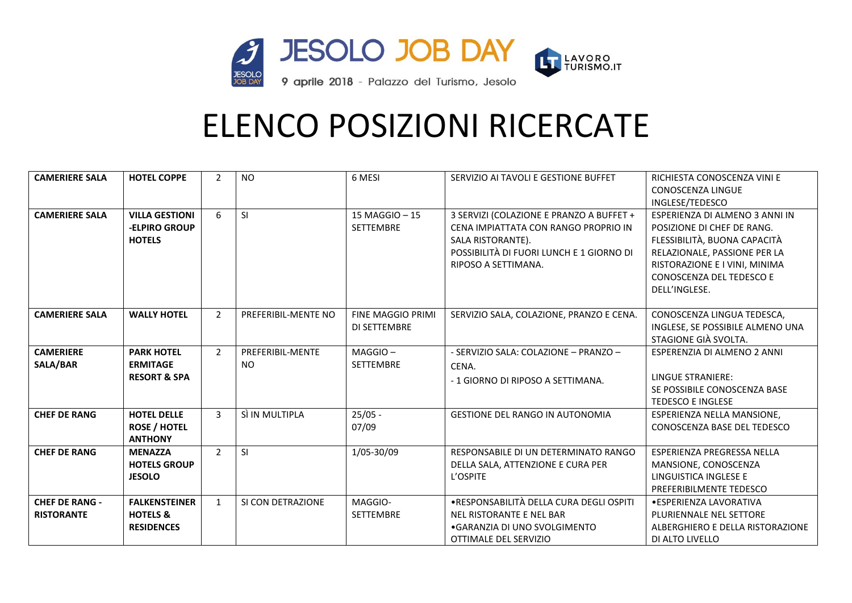

| <b>CAMERIERE SALA</b> | <b>HOTEL COPPE</b>      | $\overline{2}$ | <b>NO</b>           | 6 MESI            | SERVIZIO AI TAVOLI E GESTIONE BUFFET     | RICHIESTA CONOSCENZA VINI E      |
|-----------------------|-------------------------|----------------|---------------------|-------------------|------------------------------------------|----------------------------------|
|                       |                         |                |                     |                   |                                          | <b>CONOSCENZA LINGUE</b>         |
|                       |                         |                |                     |                   |                                          | INGLESE/TEDESCO                  |
| <b>CAMERIERE SALA</b> | <b>VILLA GESTIONI</b>   | 6              | <b>SI</b>           | 15 MAGGIO - 15    | 3 SERVIZI (COLAZIONE E PRANZO A BUFFET + | ESPERIENZA DI ALMENO 3 ANNI IN   |
|                       | -ELPIRO GROUP           |                |                     | <b>SETTEMBRE</b>  | CENA IMPIATTATA CON RANGO PROPRIO IN     | POSIZIONE DI CHEF DE RANG.       |
|                       | <b>HOTELS</b>           |                |                     |                   | SALA RISTORANTE).                        | FLESSIBILITÀ, BUONA CAPACITÀ     |
|                       |                         |                |                     |                   | POSSIBILITÀ DI FUORI LUNCH E 1 GIORNO DI | RELAZIONALE, PASSIONE PER LA     |
|                       |                         |                |                     |                   | RIPOSO A SETTIMANA.                      | RISTORAZIONE E I VINI, MINIMA    |
|                       |                         |                |                     |                   |                                          | CONOSCENZA DEL TEDESCO E         |
|                       |                         |                |                     |                   |                                          | DELL'INGLESE.                    |
|                       |                         |                |                     |                   |                                          |                                  |
| <b>CAMERIERE SALA</b> | <b>WALLY HOTEL</b>      | $\overline{2}$ | PREFERIBIL-MENTE NO | FINE MAGGIO PRIMI | SERVIZIO SALA, COLAZIONE, PRANZO E CENA. | CONOSCENZA LINGUA TEDESCA,       |
|                       |                         |                |                     | DI SETTEMBRE      |                                          | INGLESE, SE POSSIBILE ALMENO UNA |
|                       |                         |                |                     |                   |                                          | STAGIONE GIÀ SVOLTA.             |
| <b>CAMERIERE</b>      | <b>PARK HOTEL</b>       | $\overline{2}$ | PREFERIBIL-MENTE    | $MAGGIO -$        | - SERVIZIO SALA: COLAZIONE - PRANZO -    | ESPERENZIA DI ALMENO 2 ANNI      |
| <b>SALA/BAR</b>       | <b>ERMITAGE</b>         |                | <b>NO</b>           | SETTEMBRE         | CENA.                                    |                                  |
|                       | <b>RESORT &amp; SPA</b> |                |                     |                   | - 1 GIORNO DI RIPOSO A SETTIMANA.        | <b>LINGUE STRANIERE:</b>         |
|                       |                         |                |                     |                   |                                          | SE POSSIBILE CONOSCENZA BASE     |
|                       |                         |                |                     |                   |                                          | <b>TEDESCO E INGLESE</b>         |
| <b>CHEF DE RANG</b>   | <b>HOTEL DELLE</b>      | $\mathbf{3}$   | SÌ IN MULTIPLA      | $25/05 -$         | <b>GESTIONE DEL RANGO IN AUTONOMIA</b>   | ESPERIENZA NELLA MANSIONE.       |
|                       | <b>ROSE / HOTEL</b>     |                |                     | 07/09             |                                          | CONOSCENZA BASE DEL TEDESCO      |
|                       | <b>ANTHONY</b>          |                |                     |                   |                                          |                                  |
| <b>CHEF DE RANG</b>   | <b>MENAZZA</b>          | $\overline{2}$ | <b>SI</b>           | 1/05-30/09        | RESPONSABILE DI UN DETERMINATO RANGO     | ESPERIENZA PREGRESSA NELLA       |
|                       | <b>HOTELS GROUP</b>     |                |                     |                   | DELLA SALA, ATTENZIONE E CURA PER        | MANSIONE, CONOSCENZA             |
|                       | <b>JESOLO</b>           |                |                     |                   | L'OSPITE                                 | LINGUISTICA INGLESE E            |
|                       |                         |                |                     |                   |                                          | PREFERIBILMENTE TEDESCO          |
| <b>CHEF DE RANG -</b> | <b>FALKENSTEINER</b>    | $\mathbf{1}$   | SI CON DETRAZIONE   | MAGGIO-           | ·RESPONSABILITÀ DELLA CURA DEGLI OSPITI  | • ESPERIENZA LAVORATIVA          |
| <b>RISTORANTE</b>     | <b>HOTELS &amp;</b>     |                |                     | <b>SETTEMBRE</b>  | NEL RISTORANTE E NEL BAR                 | PLURIENNALE NEL SETTORE          |
|                       | <b>RESIDENCES</b>       |                |                     |                   | • GARANZIA DI UNO SVOLGIMENTO            | ALBERGHIERO E DELLA RISTORAZIONE |
|                       |                         |                |                     |                   | OTTIMALE DEL SERVIZIO                    | DI ALTO LIVELLO                  |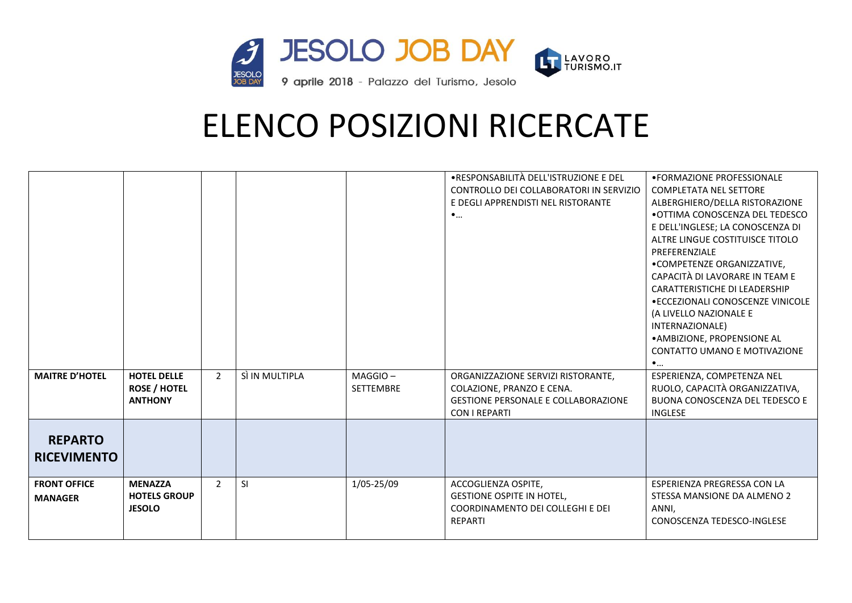

|                       |                     |                |                |                  | •RESPONSABILITÀ DELL'ISTRUZIONE E DEL      | • FORMAZIONE PROFESSIONALE        |
|-----------------------|---------------------|----------------|----------------|------------------|--------------------------------------------|-----------------------------------|
|                       |                     |                |                |                  | CONTROLLO DEI COLLABORATORI IN SERVIZIO    | <b>COMPLETATA NEL SETTORE</b>     |
|                       |                     |                |                |                  | E DEGLI APPRENDISTI NEL RISTORANTE         | ALBERGHIERO/DELLA RISTORAZIONE    |
|                       |                     |                |                |                  | $\bullet$                                  | .OTTIMA CONOSCENZA DEL TEDESCO    |
|                       |                     |                |                |                  |                                            | E DELL'INGLESE; LA CONOSCENZA DI  |
|                       |                     |                |                |                  |                                            | ALTRE LINGUE COSTITUISCE TITOLO   |
|                       |                     |                |                |                  |                                            | PREFERENZIALE                     |
|                       |                     |                |                |                  |                                            | •COMPETENZE ORGANIZZATIVE,        |
|                       |                     |                |                |                  |                                            | CAPACITÀ DI LAVORARE IN TEAM E    |
|                       |                     |                |                |                  |                                            | CARATTERISTICHE DI LEADERSHIP     |
|                       |                     |                |                |                  |                                            | • ECCEZIONALI CONOSCENZE VINICOLE |
|                       |                     |                |                |                  |                                            | (A LIVELLO NAZIONALE E            |
|                       |                     |                |                |                  |                                            | INTERNAZIONALE)                   |
|                       |                     |                |                |                  |                                            | • AMBIZIONE, PROPENSIONE AL       |
|                       |                     |                |                |                  |                                            | CONTATTO UMANO E MOTIVAZIONE      |
|                       |                     |                |                |                  |                                            | $\bullet$                         |
| <b>MAITRE D'HOTEL</b> | <b>HOTEL DELLE</b>  | $\overline{2}$ | SÌ IN MULTIPLA | MAGGIO-          | ORGANIZZAZIONE SERVIZI RISTORANTE,         | ESPERIENZA, COMPETENZA NEL        |
|                       | <b>ROSE / HOTEL</b> |                |                | <b>SETTEMBRE</b> | COLAZIONE, PRANZO E CENA.                  | RUOLO, CAPACITÀ ORGANIZZATIVA,    |
|                       | <b>ANTHONY</b>      |                |                |                  | <b>GESTIONE PERSONALE E COLLABORAZIONE</b> | BUONA CONOSCENZA DEL TEDESCO E    |
|                       |                     |                |                |                  | <b>CON I REPARTI</b>                       | <b>INGLESE</b>                    |
|                       |                     |                |                |                  |                                            |                                   |
| <b>REPARTO</b>        |                     |                |                |                  |                                            |                                   |
| <b>RICEVIMENTO</b>    |                     |                |                |                  |                                            |                                   |
|                       |                     |                |                |                  |                                            |                                   |
| <b>FRONT OFFICE</b>   | <b>MENAZZA</b>      | $\overline{2}$ | SI             | 1/05-25/09       | ACCOGLIENZA OSPITE,                        | ESPERIENZA PREGRESSA CON LA       |
| <b>MANAGER</b>        | <b>HOTELS GROUP</b> |                |                |                  | <b>GESTIONE OSPITE IN HOTEL,</b>           | STESSA MANSIONE DA ALMENO 2       |
|                       | <b>JESOLO</b>       |                |                |                  | COORDINAMENTO DEI COLLEGHI E DEI           | ANNI,                             |
|                       |                     |                |                |                  | <b>REPARTI</b>                             | CONOSCENZA TEDESCO-INGLESE        |
|                       |                     |                |                |                  |                                            |                                   |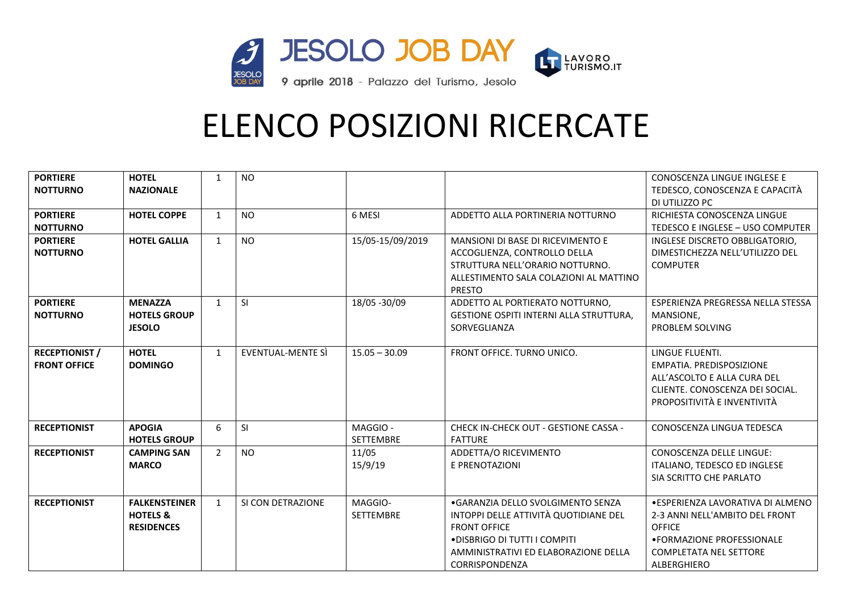

| <b>PORTIERE</b><br><b>NOTTURNO</b>           | <b>HOTEL</b><br><b>NAZIONALE</b>                                 | $\mathbf{1}$   | <b>NO</b>         |                              |                                                                                                                                                                                             | CONOSCENZA LINGUE INGLESE E<br>TEDESCO, CONOSCENZA E CAPACITÀ<br>DI UTILIZZO PC                                                                             |
|----------------------------------------------|------------------------------------------------------------------|----------------|-------------------|------------------------------|---------------------------------------------------------------------------------------------------------------------------------------------------------------------------------------------|-------------------------------------------------------------------------------------------------------------------------------------------------------------|
| <b>PORTIERE</b><br><b>NOTTURNO</b>           | <b>HOTEL COPPE</b>                                               | $\mathbf{1}$   | <b>NO</b>         | 6 MESI                       | ADDETTO ALLA PORTINERIA NOTTURNO                                                                                                                                                            | RICHIESTA CONOSCENZA LINGUE<br>TEDESCO E INGLESE - USO COMPUTER                                                                                             |
| <b>PORTIERE</b><br><b>NOTTURNO</b>           | <b>HOTEL GALLIA</b>                                              | $\mathbf{1}$   | <b>NO</b>         | 15/05-15/09/2019             | MANSIONI DI BASE DI RICEVIMENTO E<br>ACCOGLIENZA, CONTROLLO DELLA<br>STRUTTURA NELL'ORARIO NOTTURNO.<br>ALLESTIMENTO SALA COLAZIONI AL MATTINO<br><b>PRESTO</b>                             | INGLESE DISCRETO OBBLIGATORIO,<br>DIMESTICHEZZA NELL'UTILIZZO DEL<br><b>COMPUTER</b>                                                                        |
| <b>PORTIERE</b><br><b>NOTTURNO</b>           | <b>MENAZZA</b><br><b>HOTELS GROUP</b><br><b>JESOLO</b>           | $\mathbf{1}$   | <b>SI</b>         | 18/05 - 30/09                | ADDETTO AL PORTIERATO NOTTURNO,<br>GESTIONE OSPITI INTERNI ALLA STRUTTURA,<br>SORVEGLIANZA                                                                                                  | ESPERIENZA PREGRESSA NELLA STESSA<br>MANSIONE,<br>PROBLEM SOLVING                                                                                           |
| <b>RECEPTIONIST /</b><br><b>FRONT OFFICE</b> | <b>HOTEL</b><br><b>DOMINGO</b>                                   | $\mathbf{1}$   | EVENTUAL-MENTE SI | $15.05 - 30.09$              | FRONT OFFICE. TURNO UNICO.                                                                                                                                                                  | LINGUE FLUENTI.<br>EMPATIA. PREDISPOSIZIONE<br>ALL'ASCOLTO E ALLA CURA DEL<br>CLIENTE. CONOSCENZA DEI SOCIAL.<br>PROPOSITIVITÀ E INVENTIVITÀ                |
| <b>RECEPTIONIST</b>                          | <b>APOGIA</b><br><b>HOTELS GROUP</b>                             | 6              | SI                | MAGGIO -<br><b>SETTEMBRE</b> | CHECK IN-CHECK OUT - GESTIONE CASSA -<br><b>FATTURE</b>                                                                                                                                     | CONOSCENZA LINGUA TEDESCA                                                                                                                                   |
| <b>RECEPTIONIST</b>                          | <b>CAMPING SAN</b><br><b>MARCO</b>                               | $\overline{2}$ | <b>NO</b>         | 11/05<br>15/9/19             | ADDETTA/O RICEVIMENTO<br>E PRENOTAZIONI                                                                                                                                                     | <b>CONOSCENZA DELLE LINGUE:</b><br>ITALIANO, TEDESCO ED INGLESE<br>SIA SCRITTO CHE PARLATO                                                                  |
| <b>RECEPTIONIST</b>                          | <b>FALKENSTEINER</b><br><b>HOTELS &amp;</b><br><b>RESIDENCES</b> | $\mathbf{1}$   | SI CON DETRAZIONE | MAGGIO-<br><b>SETTEMBRE</b>  | .GARANZIA DELLO SVOLGIMENTO SENZA<br>INTOPPI DELLE ATTIVITÀ QUOTIDIANE DEL<br><b>FRONT OFFICE</b><br>.DISBRIGO DI TUTTI I COMPITI<br>AMMINISTRATIVI ED ELABORAZIONE DELLA<br>CORRISPONDENZA | · ESPERIENZA LAVORATIVA DI ALMENO<br>2-3 ANNI NELL'AMBITO DEL FRONT<br>OFFICE<br>• FORMAZIONE PROFESSIONALE<br><b>COMPLETATA NEL SETTORE</b><br>ALBERGHIERO |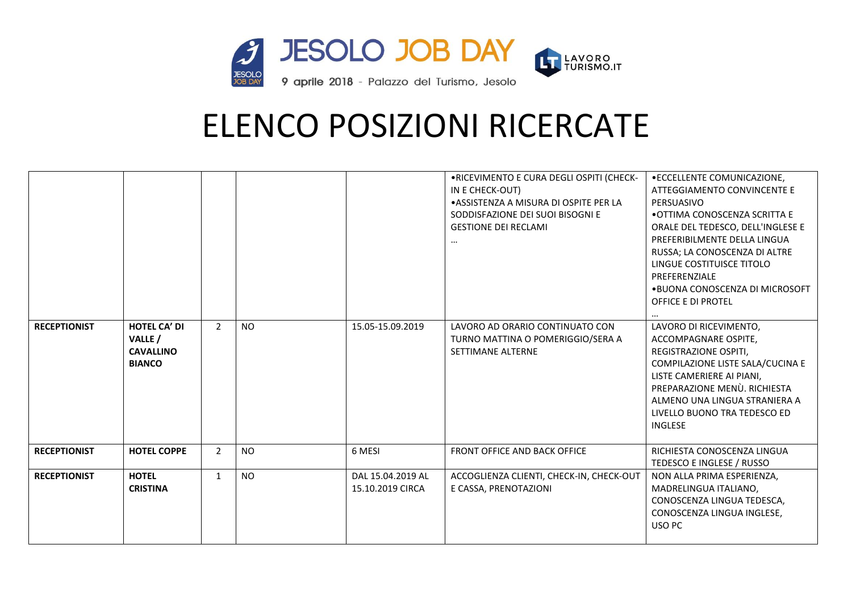

|                     |                                                                     |                |           |                                       | .RICEVIMENTO E CURA DEGLI OSPITI (CHECK-<br>IN E CHECK-OUT)<br>• ASSISTENZA A MISURA DI OSPITE PER LA<br>SODDISFAZIONE DEI SUOI BISOGNI E<br><b>GESTIONE DEI RECLAMI</b><br> | • ECCELLENTE COMUNICAZIONE,<br>ATTEGGIAMENTO CONVINCENTE E<br>PERSUASIVO<br>• OTTIMA CONOSCENZA SCRITTA E<br>ORALE DEL TEDESCO, DELL'INGLESE E<br>PREFERIBILMENTE DELLA LINGUA<br>RUSSA; LA CONOSCENZA DI ALTRE<br>LINGUE COSTITUISCE TITOLO<br>PREFERENZIALE<br>.BUONA CONOSCENZA DI MICROSOFT<br>OFFICE E DI PROTEL |
|---------------------|---------------------------------------------------------------------|----------------|-----------|---------------------------------------|------------------------------------------------------------------------------------------------------------------------------------------------------------------------------|-----------------------------------------------------------------------------------------------------------------------------------------------------------------------------------------------------------------------------------------------------------------------------------------------------------------------|
| <b>RECEPTIONIST</b> | <b>HOTEL CA' DI</b><br>VALLE /<br><b>CAVALLINO</b><br><b>BIANCO</b> | $\overline{2}$ | <b>NO</b> | 15.05-15.09.2019                      | LAVORO AD ORARIO CONTINUATO CON<br>TURNO MATTINA O POMERIGGIO/SERA A<br><b>SETTIMANE ALTERNE</b>                                                                             | LAVORO DI RICEVIMENTO,<br>ACCOMPAGNARE OSPITE,<br>REGISTRAZIONE OSPITI,<br>COMPILAZIONE LISTE SALA/CUCINA E<br>LISTE CAMERIERE AI PIANI,<br>PREPARAZIONE MENÙ. RICHIESTA<br>ALMENO UNA LINGUA STRANIERA A<br>LIVELLO BUONO TRA TEDESCO ED<br><b>INGLESE</b>                                                           |
| <b>RECEPTIONIST</b> | <b>HOTEL COPPE</b>                                                  | $\overline{2}$ | <b>NO</b> | 6 MESI                                | <b>FRONT OFFICE AND BACK OFFICE</b>                                                                                                                                          | RICHIESTA CONOSCENZA LINGUA<br>TEDESCO E INGLESE / RUSSO                                                                                                                                                                                                                                                              |
| <b>RECEPTIONIST</b> | <b>HOTEL</b><br><b>CRISTINA</b>                                     | 1              | <b>NO</b> | DAL 15.04.2019 AL<br>15.10.2019 CIRCA | ACCOGLIENZA CLIENTI, CHECK-IN, CHECK-OUT<br>E CASSA, PRENOTAZIONI                                                                                                            | NON ALLA PRIMA ESPERIENZA,<br>MADRELINGUA ITALIANO,<br>CONOSCENZA LINGUA TEDESCA,<br>CONOSCENZA LINGUA INGLESE,<br>USO PC                                                                                                                                                                                             |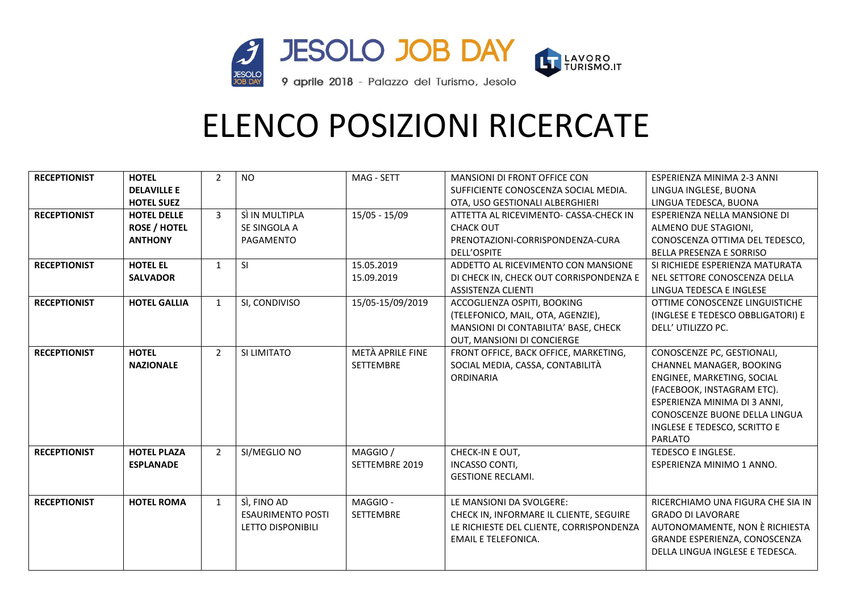

| <b>RECEPTIONIST</b> | <b>HOTEL</b>        | $\overline{2}$ | <b>NO</b>                | MAG - SETT       | <b>MANSIONI DI FRONT OFFICE CON</b>      | ESPERIENZA MINIMA 2-3 ANNI        |
|---------------------|---------------------|----------------|--------------------------|------------------|------------------------------------------|-----------------------------------|
|                     | <b>DELAVILLE E</b>  |                |                          |                  | SUFFICIENTE CONOSCENZA SOCIAL MEDIA.     | LINGUA INGLESE, BUONA             |
|                     | <b>HOTEL SUEZ</b>   |                |                          |                  | OTA, USO GESTIONALI ALBERGHIERI          | LINGUA TEDESCA, BUONA             |
| <b>RECEPTIONIST</b> | <b>HOTEL DELLE</b>  | $\overline{3}$ | SÌ IN MULTIPLA           | $15/05 - 15/09$  | ATTETTA AL RICEVIMENTO- CASSA-CHECK IN   | ESPERIENZA NELLA MANSIONE DI      |
|                     | <b>ROSE / HOTEL</b> |                | SE SINGOLA A             |                  | <b>CHACK OUT</b>                         | ALMENO DUE STAGIONI.              |
|                     | <b>ANTHONY</b>      |                | PAGAMENTO                |                  | PRENOTAZIONI-CORRISPONDENZA-CURA         | CONOSCENZA OTTIMA DEL TEDESCO,    |
|                     |                     |                |                          |                  | DELL'OSPITE                              | <b>BELLA PRESENZA E SORRISO</b>   |
| <b>RECEPTIONIST</b> | <b>HOTEL EL</b>     | $\mathbf{1}$   | <b>SI</b>                | 15.05.2019       | ADDETTO AL RICEVIMENTO CON MANSIONE      | SI RICHIEDE ESPERIENZA MATURATA   |
|                     | <b>SALVADOR</b>     |                |                          | 15.09.2019       | DI CHECK IN, CHECK OUT CORRISPONDENZA E  | NEL SETTORE CONOSCENZA DELLA      |
|                     |                     |                |                          |                  | <b>ASSISTENZA CLIENTI</b>                | LINGUA TEDESCA E INGLESE          |
| <b>RECEPTIONIST</b> | <b>HOTEL GALLIA</b> | $\mathbf{1}$   | SI, CONDIVISO            | 15/05-15/09/2019 | ACCOGLIENZA OSPITI, BOOKING              | OTTIME CONOSCENZE LINGUISTICHE    |
|                     |                     |                |                          |                  | (TELEFONICO, MAIL, OTA, AGENZIE),        | (INGLESE E TEDESCO OBBLIGATORI) E |
|                     |                     |                |                          |                  | MANSIONI DI CONTABILITA' BASE, CHECK     | DELL' UTILIZZO PC.                |
|                     |                     |                |                          |                  | OUT, MANSIONI DI CONCIERGE               |                                   |
| <b>RECEPTIONIST</b> | <b>HOTEL</b>        | $\overline{2}$ | SI LIMITATO              | METÀ APRILE FINE | FRONT OFFICE, BACK OFFICE, MARKETING,    | CONOSCENZE PC, GESTIONALI,        |
|                     | <b>NAZIONALE</b>    |                |                          | <b>SETTEMBRE</b> | SOCIAL MEDIA, CASSA, CONTABILITÀ         | CHANNEL MANAGER, BOOKING          |
|                     |                     |                |                          |                  | ORDINARIA                                | ENGINEE, MARKETING, SOCIAL        |
|                     |                     |                |                          |                  |                                          | (FACEBOOK, INSTAGRAM ETC).        |
|                     |                     |                |                          |                  |                                          | ESPERIENZA MINIMA DI 3 ANNI,      |
|                     |                     |                |                          |                  |                                          | CONOSCENZE BUONE DELLA LINGUA     |
|                     |                     |                |                          |                  |                                          | INGLESE E TEDESCO, SCRITTO E      |
|                     |                     |                |                          |                  |                                          | <b>PARLATO</b>                    |
| <b>RECEPTIONIST</b> | <b>HOTEL PLAZA</b>  | $\overline{2}$ | SI/MEGLIO NO             | MAGGIO /         | CHECK-IN E OUT,                          | TEDESCO E INGLESE.                |
|                     | <b>ESPLANADE</b>    |                |                          | SETTEMBRE 2019   | <b>INCASSO CONTI,</b>                    | ESPERIENZA MINIMO 1 ANNO.         |
|                     |                     |                |                          |                  | <b>GESTIONE RECLAMI.</b>                 |                                   |
|                     |                     |                |                          |                  |                                          |                                   |
| <b>RECEPTIONIST</b> | <b>HOTEL ROMA</b>   | $\mathbf{1}$   | SÌ, FINO AD              | MAGGIO-          | LE MANSIONI DA SVOLGERE:                 | RICERCHIAMO UNA FIGURA CHE SIA IN |
|                     |                     |                | <b>ESAURIMENTO POSTI</b> | <b>SETTEMBRE</b> | CHECK IN, INFORMARE IL CLIENTE, SEGUIRE  | <b>GRADO DI LAVORARE</b>          |
|                     |                     |                | LETTO DISPONIBILI        |                  | LE RICHIESTE DEL CLIENTE, CORRISPONDENZA | AUTONOMAMENTE, NON È RICHIESTA    |
|                     |                     |                |                          |                  | <b>EMAIL E TELEFONICA.</b>               | GRANDE ESPERIENZA, CONOSCENZA     |
|                     |                     |                |                          |                  |                                          | DELLA LINGUA INGLESE E TEDESCA.   |
|                     |                     |                |                          |                  |                                          |                                   |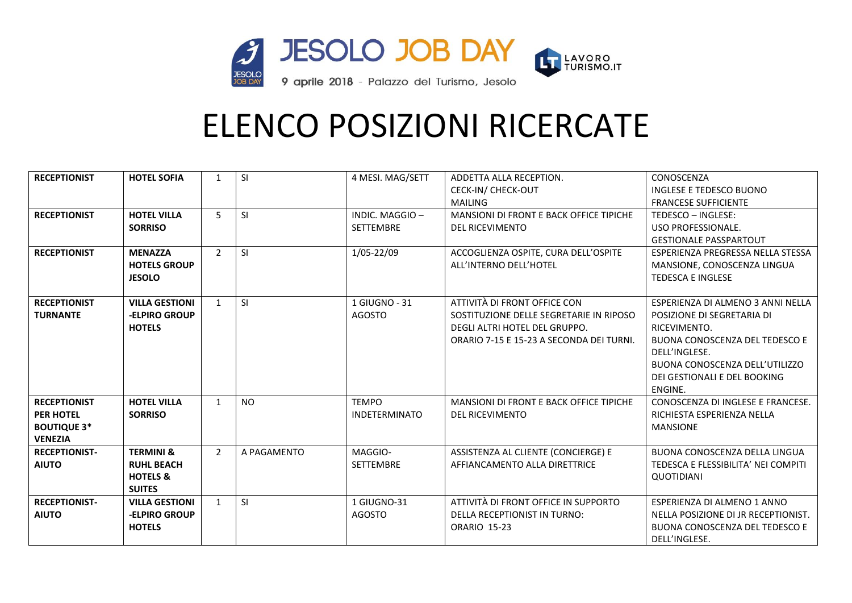

| <b>RECEPTIONIST</b>  | <b>HOTEL SOFIA</b>    | $\mathbf{1}$   | SI          | 4 MESI. MAG/SETT     | ADDETTA ALLA RECEPTION.                  | CONOSCENZA                            |
|----------------------|-----------------------|----------------|-------------|----------------------|------------------------------------------|---------------------------------------|
|                      |                       |                |             |                      | CECK-IN/ CHECK-OUT                       | INGLESE E TEDESCO BUONO               |
|                      |                       |                |             |                      | <b>MAILING</b>                           | <b>FRANCESE SUFFICIENTE</b>           |
| <b>RECEPTIONIST</b>  | <b>HOTEL VILLA</b>    | 5              | <b>SI</b>   | INDIC. MAGGIO-       | MANSIONI DI FRONT E BACK OFFICE TIPICHE  | TEDESCO - INGLESE:                    |
|                      | <b>SORRISO</b>        |                |             | <b>SETTEMBRE</b>     | <b>DEL RICEVIMENTO</b>                   | USO PROFESSIONALE.                    |
|                      |                       |                |             |                      |                                          | <b>GESTIONALE PASSPARTOUT</b>         |
| <b>RECEPTIONIST</b>  | <b>MENAZZA</b>        | $\overline{2}$ | <b>SI</b>   | 1/05-22/09           | ACCOGLIENZA OSPITE, CURA DELL'OSPITE     | ESPERIENZA PREGRESSA NELLA STESSA     |
|                      | <b>HOTELS GROUP</b>   |                |             |                      | ALL'INTERNO DELL'HOTEL                   | MANSIONE, CONOSCENZA LINGUA           |
|                      | <b>JESOLO</b>         |                |             |                      |                                          | <b>TEDESCA E INGLESE</b>              |
|                      |                       |                |             |                      |                                          |                                       |
| <b>RECEPTIONIST</b>  | <b>VILLA GESTIONI</b> | $\mathbf{1}$   | SI          | 1 GIUGNO - 31        | ATTIVITÀ DI FRONT OFFICE CON             | ESPERIENZA DI ALMENO 3 ANNI NELLA     |
| <b>TURNANTE</b>      | -ELPIRO GROUP         |                |             | <b>AGOSTO</b>        | SOSTITUZIONE DELLE SEGRETARIE IN RIPOSO  | POSIZIONE DI SEGRETARIA DI            |
|                      | <b>HOTELS</b>         |                |             |                      | DEGLI ALTRI HOTEL DEL GRUPPO.            | RICEVIMENTO.                          |
|                      |                       |                |             |                      | ORARIO 7-15 E 15-23 A SECONDA DEI TURNI. | <b>BUONA CONOSCENZA DEL TEDESCO E</b> |
|                      |                       |                |             |                      |                                          | DELL'INGLESE.                         |
|                      |                       |                |             |                      |                                          | BUONA CONOSCENZA DELL'UTILIZZO        |
|                      |                       |                |             |                      |                                          | DEI GESTIONALI E DEL BOOKING          |
|                      |                       |                |             |                      |                                          | ENGINE.                               |
| <b>RECEPTIONIST</b>  | <b>HOTEL VILLA</b>    | $\mathbf{1}$   | <b>NO</b>   | <b>TEMPO</b>         | MANSIONI DI FRONT E BACK OFFICE TIPICHE  | CONOSCENZA DI INGLESE E FRANCESE.     |
| <b>PER HOTEL</b>     | <b>SORRISO</b>        |                |             | <b>INDETERMINATO</b> | <b>DEL RICEVIMENTO</b>                   | RICHIESTA ESPERIENZA NELLA            |
| <b>BOUTIQUE 3*</b>   |                       |                |             |                      |                                          | <b>MANSIONE</b>                       |
| <b>VENEZIA</b>       |                       |                |             |                      |                                          |                                       |
| <b>RECEPTIONIST-</b> | <b>TERMINI &amp;</b>  | $\overline{2}$ | A PAGAMENTO | MAGGIO-              | ASSISTENZA AL CLIENTE (CONCIERGE) E      | BUONA CONOSCENZA DELLA LINGUA         |
| <b>AIUTO</b>         | <b>RUHL BEACH</b>     |                |             | <b>SETTEMBRE</b>     | AFFIANCAMENTO ALLA DIRETTRICE            | TEDESCA E FLESSIBILITA' NEI COMPITI   |
|                      | <b>HOTELS &amp;</b>   |                |             |                      |                                          | QUOTIDIANI                            |
|                      | <b>SUITES</b>         |                |             |                      |                                          |                                       |
| <b>RECEPTIONIST-</b> | <b>VILLA GESTIONI</b> | $\mathbf{1}$   | SI          | 1 GIUGNO-31          | ATTIVITÀ DI FRONT OFFICE IN SUPPORTO     | ESPERIENZA DI ALMENO 1 ANNO           |
| <b>AIUTO</b>         | -ELPIRO GROUP         |                |             | <b>AGOSTO</b>        | <b>DELLA RECEPTIONIST IN TURNO:</b>      | NELLA POSIZIONE DI JR RECEPTIONIST.   |
|                      | <b>HOTELS</b>         |                |             |                      | <b>ORARIO 15-23</b>                      | BUONA CONOSCENZA DEL TEDESCO E        |
|                      |                       |                |             |                      |                                          | DELL'INGLESE.                         |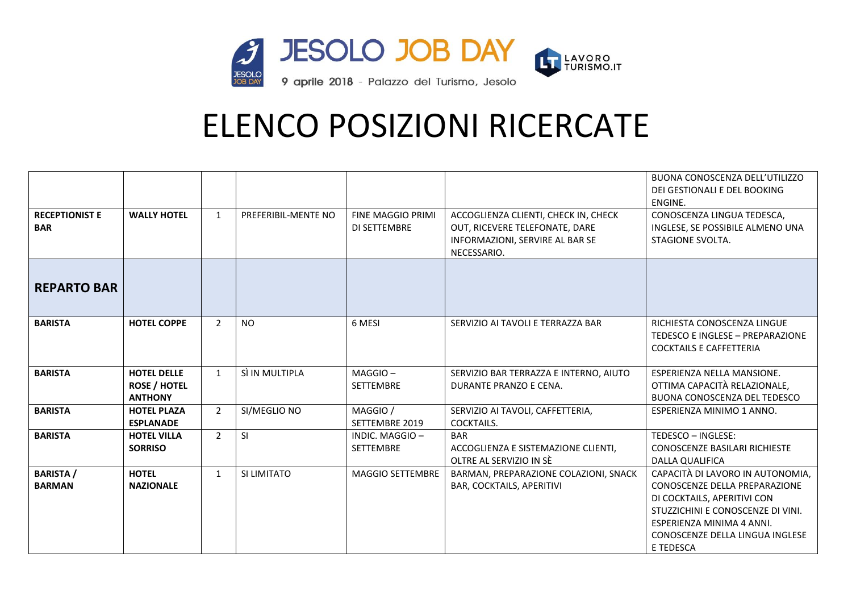

|                                     |                                                             |                |                     |                                          |                                                                                                                          | BUONA CONOSCENZA DELL'UTILIZZO<br>DEI GESTIONALI E DEL BOOKING<br>ENGINE.                                                                                                                                          |
|-------------------------------------|-------------------------------------------------------------|----------------|---------------------|------------------------------------------|--------------------------------------------------------------------------------------------------------------------------|--------------------------------------------------------------------------------------------------------------------------------------------------------------------------------------------------------------------|
| <b>RECEPTIONIST E</b><br><b>BAR</b> | <b>WALLY HOTEL</b>                                          | $\mathbf{1}$   | PREFERIBIL-MENTE NO | <b>FINE MAGGIO PRIMI</b><br>DI SETTEMBRE | ACCOGLIENZA CLIENTI, CHECK IN, CHECK<br>OUT, RICEVERE TELEFONATE, DARE<br>INFORMAZIONI, SERVIRE AL BAR SE<br>NECESSARIO. | CONOSCENZA LINGUA TEDESCA,<br>INGLESE, SE POSSIBILE ALMENO UNA<br>STAGIONE SVOLTA.                                                                                                                                 |
| <b>REPARTO BAR</b>                  |                                                             |                |                     |                                          |                                                                                                                          |                                                                                                                                                                                                                    |
| <b>BARISTA</b>                      | <b>HOTEL COPPE</b>                                          | $\overline{2}$ | <b>NO</b>           | 6 MESI                                   | SERVIZIO AI TAVOLI E TERRAZZA BAR                                                                                        | RICHIESTA CONOSCENZA LINGUE<br>TEDESCO E INGLESE - PREPARAZIONE<br><b>COCKTAILS E CAFFETTERIA</b>                                                                                                                  |
| <b>BARISTA</b>                      | <b>HOTEL DELLE</b><br><b>ROSE / HOTEL</b><br><b>ANTHONY</b> | $\mathbf{1}$   | SÌ IN MULTIPLA      | MAGGIO-<br><b>SETTEMBRE</b>              | SERVIZIO BAR TERRAZZA E INTERNO, AIUTO<br>DURANTE PRANZO E CENA.                                                         | ESPERIENZA NELLA MANSIONE.<br>OTTIMA CAPACITÀ RELAZIONALE,<br>BUONA CONOSCENZA DEL TEDESCO                                                                                                                         |
| <b>BARISTA</b>                      | <b>HOTEL PLAZA</b><br><b>ESPLANADE</b>                      | $\overline{2}$ | SI/MEGLIO NO        | MAGGIO /<br>SETTEMBRE 2019               | SERVIZIO AI TAVOLI, CAFFETTERIA,<br>COCKTAILS.                                                                           | ESPERIENZA MINIMO 1 ANNO.                                                                                                                                                                                          |
| <b>BARISTA</b>                      | <b>HOTEL VILLA</b><br><b>SORRISO</b>                        | $\overline{2}$ | <b>SI</b>           | INDIC. MAGGIO-<br><b>SETTEMBRE</b>       | <b>BAR</b><br>ACCOGLIENZA E SISTEMAZIONE CLIENTI,<br>OLTRE AL SERVIZIO IN SÈ                                             | TEDESCO - INGLESE:<br>CONOSCENZE BASILARI RICHIESTE<br><b>DALLA QUALIFICA</b>                                                                                                                                      |
| <b>BARISTA /</b><br><b>BARMAN</b>   | <b>HOTEL</b><br><b>NAZIONALE</b>                            | $\mathbf{1}$   | SI LIMITATO         | <b>MAGGIO SETTEMBRE</b>                  | BARMAN, PREPARAZIONE COLAZIONI, SNACK<br><b>BAR, COCKTAILS, APERITIVI</b>                                                | CAPACITÀ DI LAVORO IN AUTONOMIA,<br>CONOSCENZE DELLA PREPARAZIONE<br>DI COCKTAILS, APERITIVI CON<br>STUZZICHINI E CONOSCENZE DI VINI.<br>ESPERIENZA MINIMA 4 ANNI.<br>CONOSCENZE DELLA LINGUA INGLESE<br>E TEDESCA |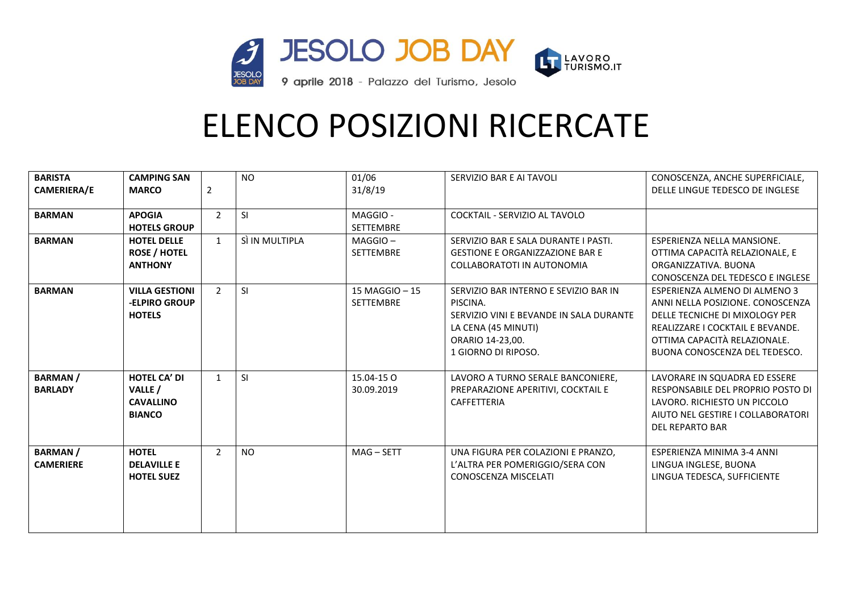

| <b>BARISTA</b>     | <b>CAMPING SAN</b>    |                | <b>NO</b>      | 01/06            | SERVIZIO BAR E AI TAVOLI                | CONOSCENZA, ANCHE SUPERFICIALE,   |
|--------------------|-----------------------|----------------|----------------|------------------|-----------------------------------------|-----------------------------------|
| <b>CAMERIERA/E</b> | <b>MARCO</b>          | 2              |                | 31/8/19          |                                         | DELLE LINGUE TEDESCO DE INGLESE   |
|                    |                       |                |                |                  |                                         |                                   |
| <b>BARMAN</b>      | <b>APOGIA</b>         | $\overline{2}$ | <b>SI</b>      | MAGGIO-          | COCKTAIL - SERVIZIO AL TAVOLO           |                                   |
|                    | <b>HOTELS GROUP</b>   |                |                | <b>SETTEMBRE</b> |                                         |                                   |
| <b>BARMAN</b>      | <b>HOTEL DELLE</b>    | $\mathbf{1}$   | SÌ IN MULTIPLA | $MAGGIO -$       | SERVIZIO BAR E SALA DURANTE I PASTI.    | ESPERIENZA NELLA MANSIONE.        |
|                    | <b>ROSE / HOTEL</b>   |                |                | <b>SETTEMBRE</b> | <b>GESTIONE E ORGANIZZAZIONE BAR E</b>  | OTTIMA CAPACITÀ RELAZIONALE, E    |
|                    | <b>ANTHONY</b>        |                |                |                  | COLLABORATOTI IN AUTONOMIA              | ORGANIZZATIVA, BUONA              |
|                    |                       |                |                |                  |                                         | CONOSCENZA DEL TEDESCO E INGLESE  |
| <b>BARMAN</b>      | <b>VILLA GESTIONI</b> | $\overline{2}$ | SI             | 15 MAGGIO - 15   | SERVIZIO BAR INTERNO E SEVIZIO BAR IN   | ESPERIENZA ALMENO DI ALMENO 3     |
|                    | -ELPIRO GROUP         |                |                | <b>SETTEMBRE</b> | PISCINA.                                | ANNI NELLA POSIZIONE. CONOSCENZA  |
|                    | <b>HOTELS</b>         |                |                |                  | SERVIZIO VINI E BEVANDE IN SALA DURANTE | DELLE TECNICHE DI MIXOLOGY PER    |
|                    |                       |                |                |                  | LA CENA (45 MINUTI)                     | REALIZZARE I COCKTAIL E BEVANDE.  |
|                    |                       |                |                |                  | ORARIO 14-23,00.                        | OTTIMA CAPACITÀ RELAZIONALE.      |
|                    |                       |                |                |                  | 1 GIORNO DI RIPOSO.                     | BUONA CONOSCENZA DEL TEDESCO.     |
| <b>BARMAN/</b>     | <b>HOTEL CA' DI</b>   | $\mathbf{1}$   | SI             | 15.04-15 O       | LAVORO A TURNO SERALE BANCONIERE,       | LAVORARE IN SQUADRA ED ESSERE     |
| <b>BARLADY</b>     | VALLE /               |                |                | 30.09.2019       | PREPARAZIONE APERITIVI, COCKTAIL E      | RESPONSABILE DEL PROPRIO POSTO DI |
|                    | <b>CAVALLINO</b>      |                |                |                  | CAFFETTERIA                             | LAVORO. RICHIESTO UN PICCOLO      |
|                    | <b>BIANCO</b>         |                |                |                  |                                         | AIUTO NEL GESTIRE I COLLABORATORI |
|                    |                       |                |                |                  |                                         | DEL REPARTO BAR                   |
|                    |                       |                |                |                  |                                         |                                   |
| <b>BARMAN/</b>     | <b>HOTEL</b>          | $\overline{2}$ | <b>NO</b>      | $MAG - SETT$     | UNA FIGURA PER COLAZIONI E PRANZO,      | ESPERIENZA MINIMA 3-4 ANNI        |
| <b>CAMERIERE</b>   | <b>DELAVILLE E</b>    |                |                |                  | L'ALTRA PER POMERIGGIO/SERA CON         | LINGUA INGLESE, BUONA             |
|                    | <b>HOTEL SUEZ</b>     |                |                |                  | <b>CONOSCENZA MISCELATI</b>             | LINGUA TEDESCA, SUFFICIENTE       |
|                    |                       |                |                |                  |                                         |                                   |
|                    |                       |                |                |                  |                                         |                                   |
|                    |                       |                |                |                  |                                         |                                   |
|                    |                       |                |                |                  |                                         |                                   |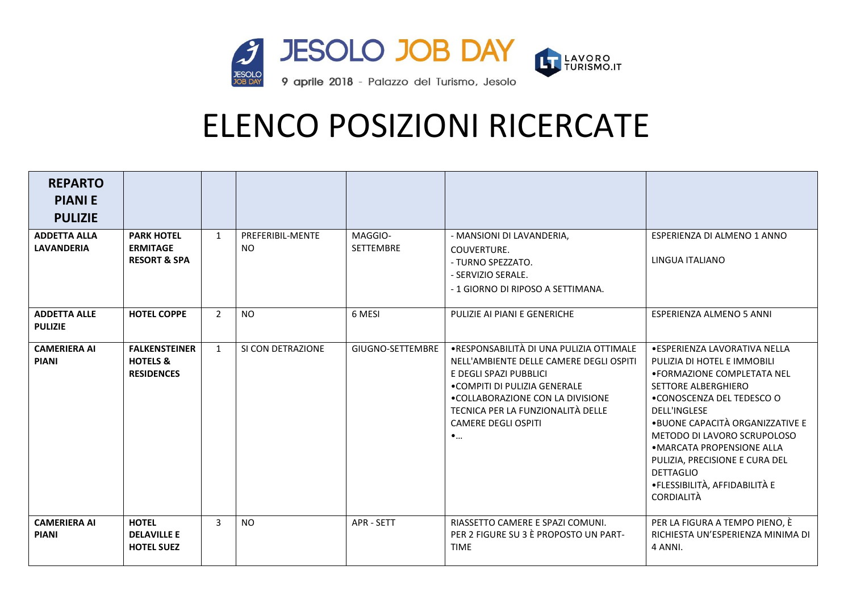

| <b>REPARTO</b><br><b>PIANIE</b><br><b>PULIZIE</b> |                                                                  |                |                         |                      |                                                                                                                                                                                                                                                                    |                                                                                                                                                                                                                                                                                                                                                                                     |
|---------------------------------------------------|------------------------------------------------------------------|----------------|-------------------------|----------------------|--------------------------------------------------------------------------------------------------------------------------------------------------------------------------------------------------------------------------------------------------------------------|-------------------------------------------------------------------------------------------------------------------------------------------------------------------------------------------------------------------------------------------------------------------------------------------------------------------------------------------------------------------------------------|
| <b>ADDETTA ALLA</b><br><b>LAVANDERIA</b>          | <b>PARK HOTEL</b><br><b>ERMITAGE</b><br><b>RESORT &amp; SPA</b>  | $\mathbf{1}$   | PREFERIBIL-MENTE<br>NO. | MAGGIO-<br>SETTEMBRE | - MANSIONI DI LAVANDERIA,<br>COUVERTURE.<br>- TURNO SPEZZATO.<br>- SERVIZIO SERALE.<br>- 1 GIORNO DI RIPOSO A SETTIMANA.                                                                                                                                           | ESPERIENZA DI ALMENO 1 ANNO<br>LINGUA ITALIANO                                                                                                                                                                                                                                                                                                                                      |
| <b>ADDETTA ALLE</b><br><b>PULIZIE</b>             | <b>HOTEL COPPE</b>                                               | $\overline{2}$ | <b>NO</b>               | 6 MESI               | PULIZIE AI PIANI E GENERICHE                                                                                                                                                                                                                                       | ESPERIENZA ALMENO 5 ANNI                                                                                                                                                                                                                                                                                                                                                            |
| <b>CAMERIERA AI</b><br><b>PIANI</b>               | <b>FALKENSTEINER</b><br><b>HOTELS &amp;</b><br><b>RESIDENCES</b> | $\mathbf{1}$   | SI CON DETRAZIONE       | GIUGNO-SETTEMBRE     | .RESPONSABILITÀ DI UNA PULIZIA OTTIMALE<br>NELL'AMBIENTE DELLE CAMERE DEGLI OSPITI<br>E DEGLI SPAZI PUBBLICI<br>• COMPITI DI PULIZIA GENERALE<br>. COLLABORAZIONE CON LA DIVISIONE<br>TECNICA PER LA FUNZIONALITÀ DELLE<br><b>CAMERE DEGLI OSPITI</b><br>$\bullet$ | • ESPERIENZA LAVORATIVA NELLA<br>PULIZIA DI HOTEL E IMMOBILI<br>• FORMAZIONE COMPLETATA NEL<br>SETTORE ALBERGHIERO<br>.CONOSCENZA DEL TEDESCO O<br><b>DELL'INGLESE</b><br>• BUONE CAPACITÀ ORGANIZZATIVE E<br>METODO DI LAVORO SCRUPOLOSO<br>• MARCATA PROPENSIONE ALLA<br>PULIZIA, PRECISIONE E CURA DEL<br><b>DETTAGLIO</b><br>•FLESSIBILITÀ, AFFIDABILITÀ E<br><b>CORDIALITÀ</b> |
| <b>CAMERIERA AI</b><br><b>PIANI</b>               | <b>HOTEL</b><br><b>DELAVILLE E</b><br><b>HOTEL SUEZ</b>          | $\overline{3}$ | <b>NO</b>               | <b>APR - SETT</b>    | RIASSETTO CAMERE E SPAZI COMUNI.<br>PER 2 FIGURE SU 3 È PROPOSTO UN PART-<br><b>TIME</b>                                                                                                                                                                           | PER LA FIGURA A TEMPO PIENO, È<br>RICHIESTA UN'ESPERIENZA MINIMA DI<br>4 ANNI.                                                                                                                                                                                                                                                                                                      |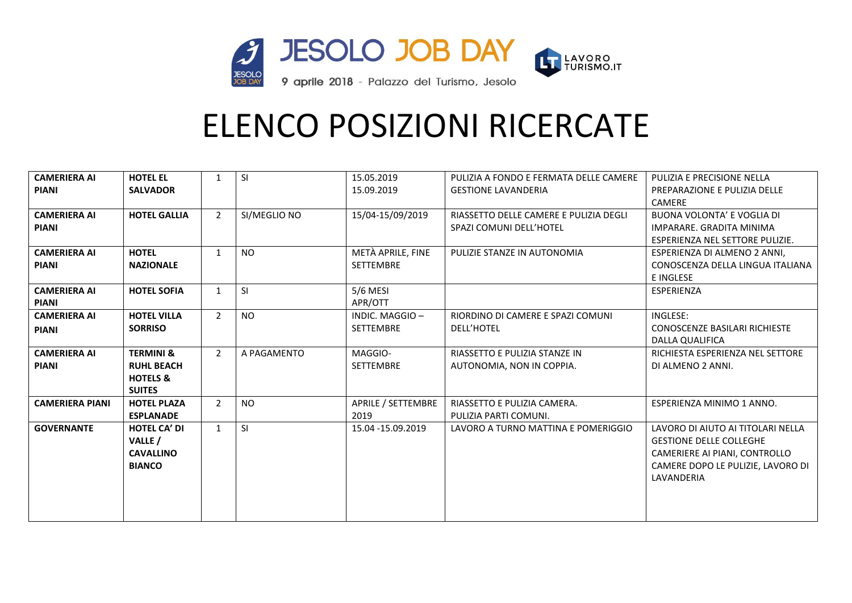

| <b>CAMERIERA AI</b>    | <b>HOTEL EL</b>      | $\mathbf{1}$   | <b>SI</b>    | 15.05.2019         | PULIZIA A FONDO E FERMATA DELLE CAMERE | PULIZIA E PRECISIONE NELLA        |
|------------------------|----------------------|----------------|--------------|--------------------|----------------------------------------|-----------------------------------|
| <b>PIANI</b>           | <b>SALVADOR</b>      |                |              | 15.09.2019         | <b>GESTIONE LAVANDERIA</b>             | PREPARAZIONE E PULIZIA DELLE      |
|                        |                      |                |              |                    |                                        | <b>CAMERE</b>                     |
| <b>CAMERIERA AI</b>    | <b>HOTEL GALLIA</b>  | $\overline{2}$ | SI/MEGLIO NO | 15/04-15/09/2019   | RIASSETTO DELLE CAMERE E PULIZIA DEGLI | <b>BUONA VOLONTA' E VOGLIA DI</b> |
| <b>PIANI</b>           |                      |                |              |                    | SPAZI COMUNI DELL'HOTEL                | IMPARARE. GRADITA MINIMA          |
|                        |                      |                |              |                    |                                        | ESPERIENZA NEL SETTORE PULIZIE.   |
| <b>CAMERIERA AI</b>    | <b>HOTEL</b>         | $\mathbf{1}$   | <b>NO</b>    | METÀ APRILE, FINE  | PULIZIE STANZE IN AUTONOMIA            | ESPERIENZA DI ALMENO 2 ANNI,      |
| <b>PIANI</b>           | <b>NAZIONALE</b>     |                |              | <b>SETTEMBRE</b>   |                                        | CONOSCENZA DELLA LINGUA ITALIANA  |
|                        |                      |                |              |                    |                                        | <b>E INGLESE</b>                  |
| <b>CAMERIERA AI</b>    | <b>HOTEL SOFIA</b>   | $\mathbf{1}$   | <b>SI</b>    | 5/6 MESI           |                                        | <b>ESPERIENZA</b>                 |
| <b>PIANI</b>           |                      |                |              | APR/OTT            |                                        |                                   |
| <b>CAMERIERA AI</b>    | <b>HOTEL VILLA</b>   | $\overline{2}$ | <b>NO</b>    | INDIC. MAGGIO-     | RIORDINO DI CAMERE E SPAZI COMUNI      | INGLESE:                          |
| <b>PIANI</b>           | <b>SORRISO</b>       |                |              | <b>SETTEMBRE</b>   | <b>DELL'HOTEL</b>                      | CONOSCENZE BASILARI RICHIESTE     |
|                        |                      |                |              |                    |                                        | DALLA QUALIFICA                   |
| <b>CAMERIERA AI</b>    | <b>TERMINI &amp;</b> | $\overline{2}$ | A PAGAMENTO  | MAGGIO-            | RIASSETTO E PULIZIA STANZE IN          | RICHIESTA ESPERIENZA NEL SETTORE  |
| <b>PIANI</b>           | <b>RUHL BEACH</b>    |                |              | <b>SETTEMBRE</b>   | AUTONOMIA, NON IN COPPIA.              | DI ALMENO 2 ANNI.                 |
|                        | <b>HOTELS &amp;</b>  |                |              |                    |                                        |                                   |
|                        | <b>SUITES</b>        |                |              |                    |                                        |                                   |
| <b>CAMERIERA PIANI</b> | <b>HOTEL PLAZA</b>   | $\overline{2}$ | <b>NO</b>    | APRILE / SETTEMBRE | RIASSETTO E PULIZIA CAMERA.            | ESPERIENZA MINIMO 1 ANNO.         |
|                        | <b>ESPLANADE</b>     |                |              | 2019               | PULIZIA PARTI COMUNI.                  |                                   |
| <b>GOVERNANTE</b>      | <b>HOTEL CA' DI</b>  | $\mathbf{1}$   | <b>SI</b>    | 15.04 -15.09.2019  | LAVORO A TURNO MATTINA E POMERIGGIO    | LAVORO DI AIUTO AI TITOLARI NELLA |
|                        | VALLE /              |                |              |                    |                                        | <b>GESTIONE DELLE COLLEGHE</b>    |
|                        | <b>CAVALLINO</b>     |                |              |                    |                                        | CAMERIERE AI PIANI, CONTROLLO     |
|                        | <b>BIANCO</b>        |                |              |                    |                                        | CAMERE DOPO LE PULIZIE, LAVORO DI |
|                        |                      |                |              |                    |                                        | LAVANDERIA                        |
|                        |                      |                |              |                    |                                        |                                   |
|                        |                      |                |              |                    |                                        |                                   |
|                        |                      |                |              |                    |                                        |                                   |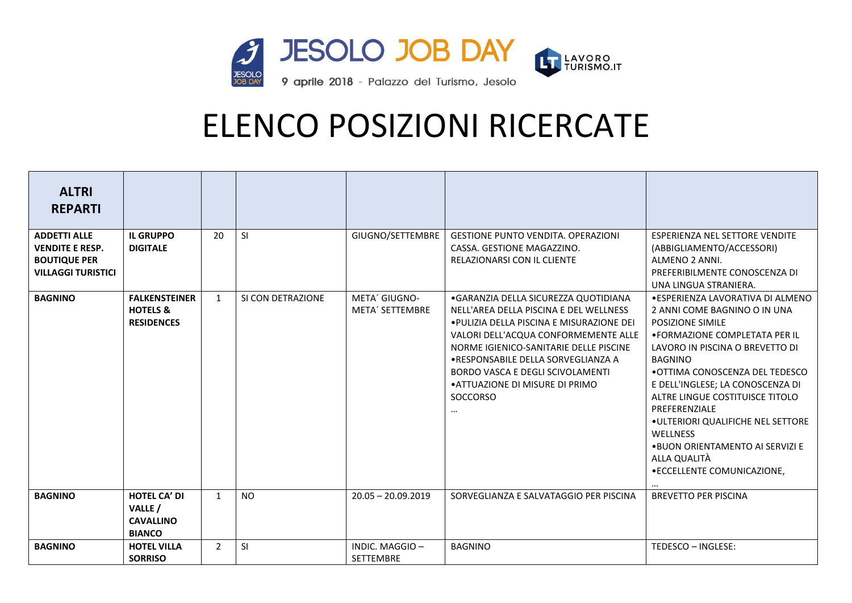

| <b>ALTRI</b><br><b>REPARTI</b>                                                                    |                                                                     |                |                   |                                  |                                                                                                                                                                                                                                                                                                                                                      |                                                                                                                                                                                                                                                                                                                                                                                                                                                  |
|---------------------------------------------------------------------------------------------------|---------------------------------------------------------------------|----------------|-------------------|----------------------------------|------------------------------------------------------------------------------------------------------------------------------------------------------------------------------------------------------------------------------------------------------------------------------------------------------------------------------------------------------|--------------------------------------------------------------------------------------------------------------------------------------------------------------------------------------------------------------------------------------------------------------------------------------------------------------------------------------------------------------------------------------------------------------------------------------------------|
| <b>ADDETTI ALLE</b><br><b>VENDITE E RESP.</b><br><b>BOUTIQUE PER</b><br><b>VILLAGGI TURISTICI</b> | <b>IL GRUPPO</b><br><b>DIGITALE</b>                                 | 20             | <b>SI</b>         | GIUGNO/SETTEMBRE                 | <b>GESTIONE PUNTO VENDITA, OPERAZIONI</b><br>CASSA. GESTIONE MAGAZZINO.<br>RELAZIONARSI CON IL CLIENTE                                                                                                                                                                                                                                               | <b>ESPERIENZA NEL SETTORE VENDITE</b><br>(ABBIGLIAMENTO/ACCESSORI)<br>ALMENO 2 ANNI.<br>PREFERIBILMENTE CONOSCENZA DI<br>UNA LINGUA STRANIERA.                                                                                                                                                                                                                                                                                                   |
| <b>BAGNINO</b>                                                                                    | <b>FALKENSTEINER</b><br><b>HOTELS &amp;</b><br><b>RESIDENCES</b>    | $\mathbf{1}$   | SI CON DETRAZIONE | META' GIUGNO-<br>META' SETTEMBRE | • GARANZIA DELLA SICUREZZA QUOTIDIANA<br>NELL'AREA DELLA PISCINA E DEL WELLNESS<br>• PULIZIA DELLA PISCINA E MISURAZIONE DEI<br>VALORI DELL'ACQUA CONFORMEMENTE ALLE<br>NORME IGIENICO-SANITARIE DELLE PISCINE<br>• RESPONSABILE DELLA SORVEGLIANZA A<br>BORDO VASCA E DEGLI SCIVOLAMENTI<br>• ATTUAZIONE DI MISURE DI PRIMO<br>SOCCORSO<br>$\cdots$ | ●ESPERIENZA LAVORATIVA DI ALMENO<br>2 ANNI COME BAGNINO O IN UNA<br>POSIZIONE SIMILE<br>• FORMAZIONE COMPLETATA PER IL<br>LAVORO IN PISCINA O BREVETTO DI<br><b>BAGNINO</b><br>• OTTIMA CONOSCENZA DEL TEDESCO<br>E DELL'INGLESE; LA CONOSCENZA DI<br>ALTRE LINGUE COSTITUISCE TITOLO<br>PREFERENZIALE<br>.ULTERIORI QUALIFICHE NEL SETTORE<br><b>WELLNESS</b><br>.BUON ORIENTAMENTO AI SERVIZI E<br>ALLA QUALITÀ<br>• ECCELLENTE COMUNICAZIONE, |
| <b>BAGNINO</b>                                                                                    | <b>HOTEL CA' DI</b><br>VALLE /<br><b>CAVALLINO</b><br><b>BIANCO</b> | $\mathbf{1}$   | <b>NO</b>         | $20.05 - 20.09.2019$             | SORVEGLIANZA E SALVATAGGIO PER PISCINA                                                                                                                                                                                                                                                                                                               | <b>BREVETTO PER PISCINA</b>                                                                                                                                                                                                                                                                                                                                                                                                                      |
| <b>BAGNINO</b>                                                                                    | <b>HOTEL VILLA</b><br><b>SORRISO</b>                                | $\overline{2}$ | SI                | INDIC. MAGGIO-<br>SETTEMBRE      | <b>BAGNINO</b>                                                                                                                                                                                                                                                                                                                                       | TEDESCO - INGLESE:                                                                                                                                                                                                                                                                                                                                                                                                                               |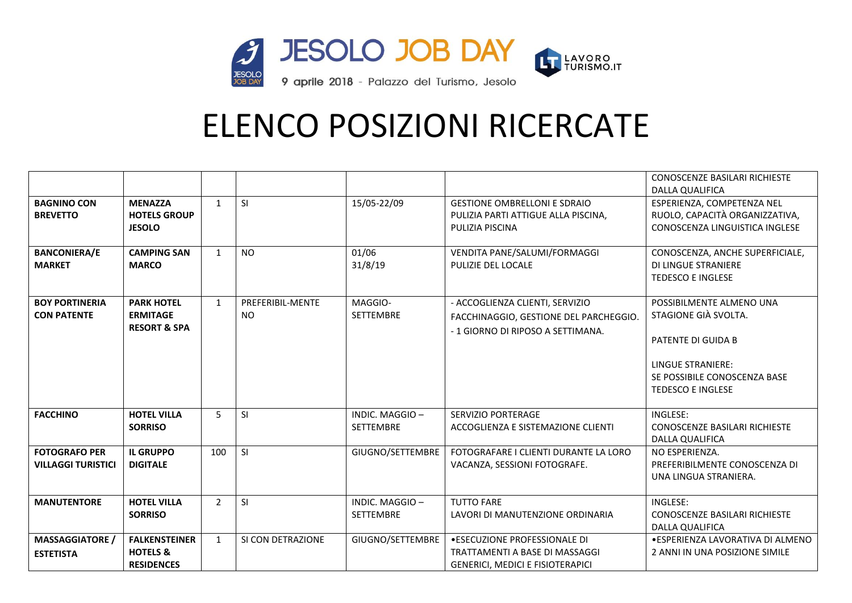

|                                                   |                                                                  |                |                               |                                     |                                                                                                                | <b>CONOSCENZE BASILARI RICHIESTE</b><br><b>DALLA QUALIFICA</b>                                                                                                 |
|---------------------------------------------------|------------------------------------------------------------------|----------------|-------------------------------|-------------------------------------|----------------------------------------------------------------------------------------------------------------|----------------------------------------------------------------------------------------------------------------------------------------------------------------|
| <b>BAGNINO CON</b><br><b>BREVETTO</b>             | <b>MENAZZA</b><br><b>HOTELS GROUP</b><br><b>JESOLO</b>           | $\mathbf{1}$   | <b>SI</b>                     | 15/05-22/09                         | <b>GESTIONE OMBRELLONI E SDRAIO</b><br>PULIZIA PARTI ATTIGUE ALLA PISCINA,<br>PULIZIA PISCINA                  | ESPERIENZA, COMPETENZA NEL<br>RUOLO, CAPACITÀ ORGANIZZATIVA,<br>CONOSCENZA LINGUISTICA INGLESE                                                                 |
| <b>BANCONIERA/E</b><br><b>MARKET</b>              | <b>CAMPING SAN</b><br><b>MARCO</b>                               | 1              | <b>NO</b>                     | 01/06<br>31/8/19                    | VENDITA PANE/SALUMI/FORMAGGI<br>PULIZIE DEL LOCALE                                                             | CONOSCENZA, ANCHE SUPERFICIALE,<br><b>DI LINGUE STRANIERE</b><br><b>TEDESCO E INGLESE</b>                                                                      |
| <b>BOY PORTINERIA</b><br><b>CON PATENTE</b>       | <b>PARK HOTEL</b><br><b>ERMITAGE</b><br><b>RESORT &amp; SPA</b>  | $\mathbf{1}$   | PREFERIBIL-MENTE<br><b>NO</b> | MAGGIO-<br><b>SETTEMBRE</b>         | - ACCOGLIENZA CLIENTI, SERVIZIO<br>FACCHINAGGIO, GESTIONE DEL PARCHEGGIO.<br>- 1 GIORNO DI RIPOSO A SETTIMANA. | POSSIBILMENTE ALMENO UNA<br>STAGIONE GIÀ SVOLTA.<br>PATENTE DI GUIDA B<br><b>LINGUE STRANIERE:</b><br>SE POSSIBILE CONOSCENZA BASE<br><b>TEDESCO E INGLESE</b> |
| <b>FACCHINO</b>                                   | <b>HOTEL VILLA</b><br><b>SORRISO</b>                             | 5              | SI                            | INDIC. MAGGIO -<br><b>SETTEMBRE</b> | SERVIZIO PORTERAGE<br>ACCOGLIENZA E SISTEMAZIONE CLIENTI                                                       | INGLESE:<br>CONOSCENZE BASILARI RICHIESTE<br>DALLA QUALIFICA                                                                                                   |
| <b>FOTOGRAFO PER</b><br><b>VILLAGGI TURISTICI</b> | <b>IL GRUPPO</b><br><b>DIGITALE</b>                              | 100            | SI                            | GIUGNO/SETTEMBRE                    | FOTOGRAFARE I CLIENTI DURANTE LA LORO<br>VACANZA, SESSIONI FOTOGRAFE.                                          | NO ESPERIENZA.<br>PREFERIBILMENTE CONOSCENZA DI<br>UNA LINGUA STRANIERA.                                                                                       |
| <b>MANUTENTORE</b>                                | <b>HOTEL VILLA</b><br><b>SORRISO</b>                             | $\overline{2}$ | SI                            | INDIC. MAGGIO-<br><b>SETTEMBRE</b>  | <b>TUTTO FARE</b><br>LAVORI DI MANUTENZIONE ORDINARIA                                                          | INGLESE:<br>CONOSCENZE BASILARI RICHIESTE<br><b>DALLA QUALIFICA</b>                                                                                            |
| <b>MASSAGGIATORE /</b><br><b>ESTETISTA</b>        | <b>FALKENSTEINER</b><br><b>HOTELS &amp;</b><br><b>RESIDENCES</b> | $\mathbf{1}$   | SI CON DETRAZIONE             | GIUGNO/SETTEMBRE                    | .ESECUZIONE PROFESSIONALE DI<br>TRATTAMENTI A BASE DI MASSAGGI<br><b>GENERICI, MEDICI E FISIOTERAPICI</b>      | · ESPERIENZA LAVORATIVA DI ALMENO<br>2 ANNI IN UNA POSIZIONE SIMILE                                                                                            |